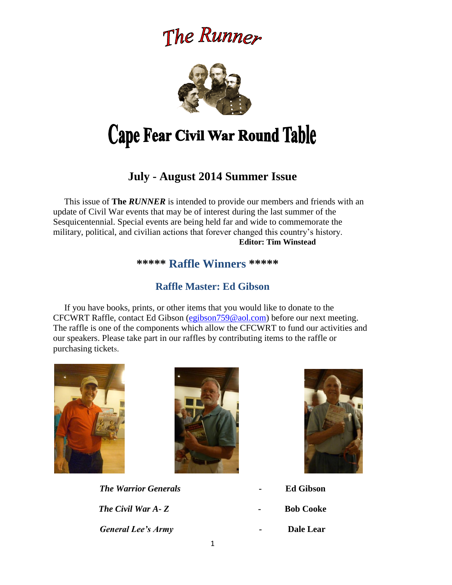# The Runner



# Cape Fear Civil War Round Table

# **July - August 2014 Summer Issue**

This issue of **The** *RUNNER* is intended to provide our members and friends with an update of Civil War events that may be of interest during the last summer of the Sesquicentennial. Special events are being held far and wide to commemorate the military, political, and civilian actions that forever changed this country's history. **Editor: Tim Winstead**

### **\*\*\*\*\* Raffle Winners \*\*\*\*\***

# **Raffle Master: Ed Gibson**

 If you have books, prints, or other items that you would like to donate to the CFCWRT Raffle, contact Ed Gibson [\(egibson759@aol.com\)](mailto:egibson759@aol.com) before our next meeting. The raffle is one of the components which allow the CFCWRT to fund our activities and our speakers. Please take part in our raffles by contributing items to the raffle or purchasing tickets.





*The Warrior Generals -* **Ed Gibson** *The Civil War A-Z COOKE* **Bob Cooke** *General Lee's Army -* **Dale Lear**



- 
- 
-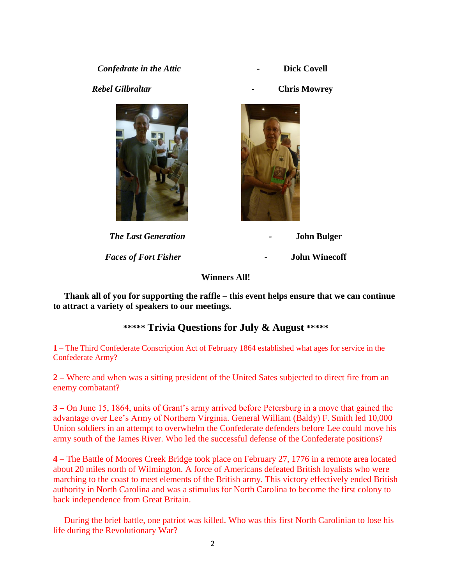**Confedrate in the Attic <b>and Confedrate in the Attic dividends Figure 2 Dick Covell** 



**Faces** of

*Rebel Gilbraltar -* **Chris Mowrey**



| <b>The Last Generation</b> | $\sim$ | <b>John Bulger</b>   |
|----------------------------|--------|----------------------|
| aces of Fort Fisher        | $\sim$ | <b>John Winecoff</b> |

**Winners All!**

 **Thank all of you for supporting the raffle – this event helps ensure that we can continue to attract a variety of speakers to our meetings.**

## **\*\*\*\*\* Trivia Questions for July & August \*\*\*\*\***

**1 –** The Third Confederate Conscription Act of February 1864 established what ages for service in the Confederate Army?

**2 –** Where and when was a sitting president of the United Sates subjected to direct fire from an enemy combatant?

**3 –** On June 15, 1864, units of Grant's army arrived before Petersburg in a move that gained the advantage over Lee's Army of Northern Virginia. General William (Baldy) F. Smith led 10,000 Union soldiers in an attempt to overwhelm the Confederate defenders before Lee could move his army south of the James River. Who led the successful defense of the Confederate positions?

**4 –** The Battle of Moores Creek Bridge took place on February 27, 1776 in a remote area located about 20 miles north of Wilmington. A force of Americans defeated British loyalists who were marching to the coast to meet elements of the British army. This victory effectively ended British authority in North Carolina and was a stimulus for North Carolina to become the first colony to back independence from Great Britain.

 During the brief battle, one patriot was killed. Who was this first North Carolinian to lose his life during the Revolutionary War?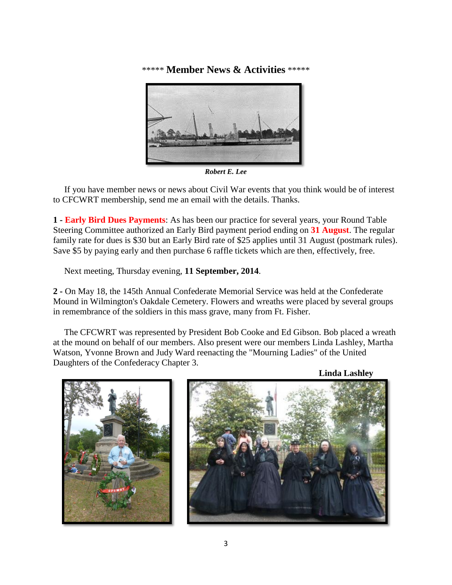\*\*\*\*\* **Member News & Activities** \*\*\*\*\*



*Robert E. Lee*

 If you have member news or news about Civil War events that you think would be of interest to CFCWRT membership, send me an email with the details. Thanks.

**1 - Early Bird Dues Payments**: As has been our practice for several years, your Round Table Steering Committee authorized an Early Bird payment period ending on **31 August**. The regular family rate for dues is \$30 but an Early Bird rate of \$25 applies until 31 August (postmark rules). Save \$5 by paying early and then purchase 6 raffle tickets which are then, effectively, free.

Next meeting, Thursday evening, **11 September, 2014**.

**2 -** On May 18, the 145th Annual Confederate Memorial Service was held at the Confederate Mound in Wilmington's Oakdale Cemetery. Flowers and wreaths were placed by several groups in remembrance of the soldiers in this mass grave, many from Ft. Fisher.

 The CFCWRT was represented by President Bob Cooke and Ed Gibson. Bob placed a wreath at the mound on behalf of our members. Also present were our members Linda Lashley, Martha Watson, Yvonne Brown and Judy Ward reenacting the "Mourning Ladies" of the United Daughters of the Confederacy Chapter 3.

**Linda Lashley**

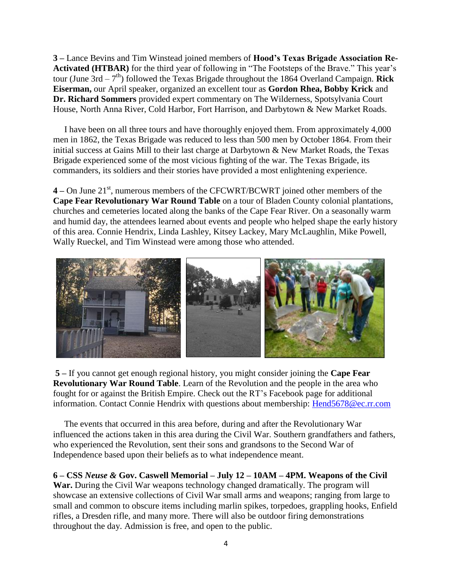**3 –** Lance Bevins and Tim Winstead joined members of **Hood's Texas Brigade Association Re-Activated (HTBAR)** for the third year of following in "The Footsteps of the Brave." This year's tour (June  $3rd - 7<sup>th</sup>$ ) followed the Texas Brigade throughout the 1864 Overland Campaign. **Rick Eiserman,** our April speaker, organized an excellent tour as **Gordon Rhea, Bobby Krick** and **Dr. Richard Sommers** provided expert commentary on The Wilderness, Spotsylvania Court House, North Anna River, Cold Harbor, Fort Harrison, and Darbytown & New Market Roads.

 I have been on all three tours and have thoroughly enjoyed them. From approximately 4,000 men in 1862, the Texas Brigade was reduced to less than 500 men by October 1864. From their initial success at Gains Mill to their last charge at Darbytown & New Market Roads, the Texas Brigade experienced some of the most vicious fighting of the war. The Texas Brigade, its commanders, its soldiers and their stories have provided a most enlightening experience.

**4** – On June 21<sup>st</sup>, numerous members of the CFCWRT/BCWRT joined other members of the **Cape Fear Revolutionary War Round Table** on a tour of Bladen County colonial plantations, churches and cemeteries located along the banks of the Cape Fear River. On a seasonally warm and humid day, the attendees learned about events and people who helped shape the early history of this area. Connie Hendrix, Linda Lashley, Kitsey Lackey, Mary McLaughlin, Mike Powell, Wally Rueckel, and Tim Winstead were among those who attended.



**5 –** If you cannot get enough regional history, you might consider joining the **Cape Fear Revolutionary War Round Table**. Learn of the Revolution and the people in the area who fought for or against the British Empire. Check out the RT's Facebook page for additional information. Contact Connie Hendrix with questions about membership: [Hend5678@ec.rr.com](mailto:Hend5678@ec.rr.com)

 The events that occurred in this area before, during and after the Revolutionary War influenced the actions taken in this area during the Civil War. Southern grandfathers and fathers, who experienced the Revolution, sent their sons and grandsons to the Second War of Independence based upon their beliefs as to what independence meant.

**6 – CSS** *Neuse &* **Gov. Caswell Memorial – July 12 – 10AM – 4PM. Weapons of the Civil War.** During the Civil War weapons technology changed dramatically. The program will showcase an extensive collections of Civil War small arms and weapons; ranging from large to small and common to obscure items including marlin spikes, torpedoes, grappling hooks, Enfield rifles, a Dresden rifle, and many more. There will also be outdoor firing demonstrations throughout the day. Admission is free, and open to the public.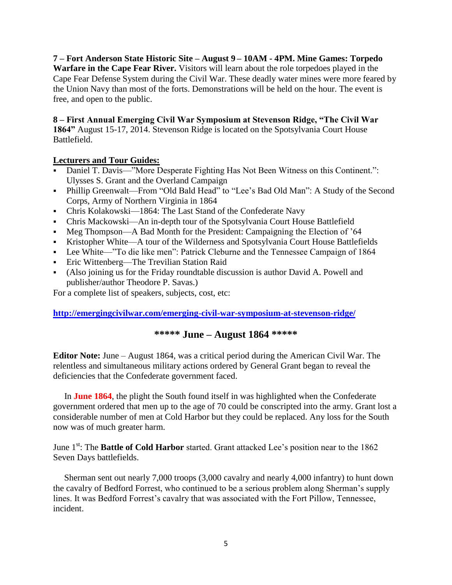**7 – Fort Anderson State Historic Site – August 9 – 10AM - 4PM. Mine Games: Torpedo Warfare in the Cape Fear River.** Visitors will learn about the role torpedoes played in the Cape Fear Defense System during the Civil War. These deadly water mines were more feared by the Union Navy than most of the forts. Demonstrations will be held on the hour. The event is free, and open to the public.

**8 – First Annual Emerging Civil War Symposium at Stevenson Ridge, "The Civil War 1864"** August 15-17, 2014. Stevenson Ridge is located on the Spotsylvania Court House Battlefield.

#### **Lecturers and Tour Guides:**

- Daniel T. Davis—"More Desperate Fighting Has Not Been Witness on this Continent.": Ulysses S. Grant and the Overland Campaign
- Phillip Greenwalt—From "Old Bald Head" to "Lee's Bad Old Man": A Study of the Second Corps, Army of Northern Virginia in 1864
- Chris Kolakowski—1864: The Last Stand of the Confederate Navy
- Chris Mackowski—An in-depth tour of the Spotsylvania Court House Battlefield
- Meg Thompson—A Bad Month for the President: Campaigning the Election of '64
- Kristopher White—A tour of the Wilderness and Spotsylvania Court House Battlefields
- Lee White—"To die like men": Patrick Cleburne and the Tennessee Campaign of 1864
- **Eric Wittenberg—The Trevilian Station Raid**
- (Also joining us for the Friday roundtable discussion is author David A. Powell and publisher/author Theodore P. Savas.)

For a complete list of speakers, subjects, cost, etc:

#### **<http://emergingcivilwar.com/emerging-civil-war-symposium-at-stevenson-ridge/>**

### **\*\*\*\*\* June – August 1864 \*\*\*\*\***

**Editor Note:** June – August 1864, was a critical period during the American Civil War. The relentless and simultaneous military actions ordered by General Grant began to reveal the deficiencies that the Confederate government faced.

 In **June 1864**, the plight the South found itself in was highlighted when the Confederate government ordered that men up to the age of 70 could be conscripted into the army. Grant lost a considerable number of men at Cold Harbor but they could be replaced. Any loss for the South now was of much greater harm.

June 1<sup>st</sup>: The **Battle of Cold Harbor** started. Grant attacked Lee's position near to the 1862 Seven Days battlefields.

 Sherman sent out nearly 7,000 troops (3,000 cavalry and nearly 4,000 infantry) to hunt down the cavalry of Bedford Forrest, who continued to be a serious problem along Sherman's supply lines. It was Bedford Forrest's cavalry that was associated with the Fort Pillow, Tennessee, incident.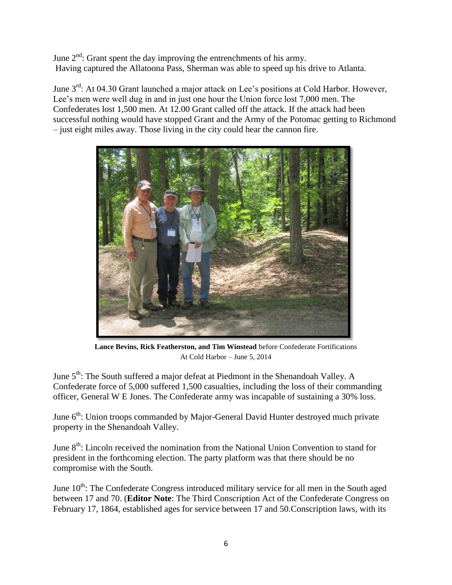June  $2<sup>nd</sup>$ : Grant spent the day improving the entrenchments of his army. Having captured the Allatoona Pass, Sherman was able to speed up his drive to Atlanta.

June 3<sup>rd</sup>: At 04.30 Grant launched a major attack on Lee's positions at Cold Harbor. However, Lee's men were well dug in and in just one hour the Union force lost 7,000 men. The Confederates lost 1,500 men. At 12.00 Grant called off the attack. If the attack had been successful nothing would have stopped Grant and the Army of the Potomac getting to Richmond – just eight miles away. Those living in the city could hear the cannon fire.



**Lance Bevins, Rick Featherston, and Tim Winstead** before Confederate Fortifications At Cold Harbor – June 5, 2014

June 5<sup>th</sup>: The South suffered a major defeat at Piedmont in the Shenandoah Valley. A Confederate force of 5,000 suffered 1,500 casualties, including the loss of their commanding officer, General W E Jones. The Confederate army was incapable of sustaining a 30% loss.

June  $6<sup>th</sup>$ : Union troops commanded by Major-General David Hunter destroyed much private property in the Shenandoah Valley.

June  $8<sup>th</sup>$ : Lincoln received the nomination from the National Union Convention to stand for president in the forthcoming election. The party platform was that there should be no compromise with the South.

June  $10<sup>th</sup>$ : The Confederate Congress introduced military service for all men in the South aged between 17 and 70. (**Editor Note**: The Third Conscription Act of the Confederate Congress on February 17, 1864, established ages for service between 17 and 50.Conscription laws, with its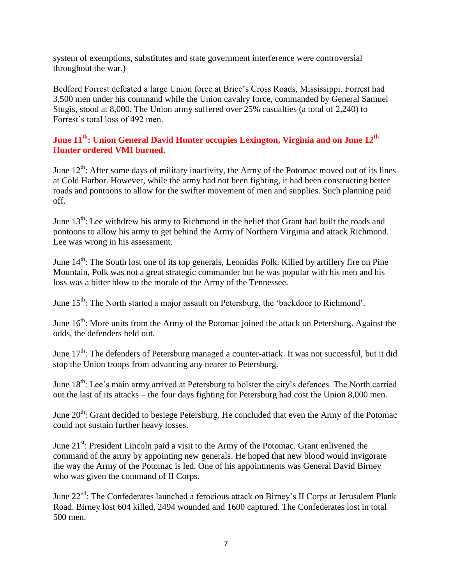system of exemptions, substitutes and state government interference were controversial throughout the war.)

Bedford Forrest defeated a large Union force at Brice's Cross Roads, Mississippi. Forrest had 3,500 men under his command while the Union cavalry force, commanded by General Samuel Stugis, stood at 8,000. The Union army suffered over 25% casualties (a total of 2,240) to Forrest's total loss of 492 men.

#### **June 11th: Union General David Hunter occupies Lexington, Virginia and on June 12th Hunter ordered VMI burned.**

June  $12^{th}$ : After some days of military inactivity, the Army of the Potomac moved out of its lines at Cold Harbor. However, while the army had not been fighting, it had been constructing better roads and pontoons to allow for the swifter movement of men and supplies. Such planning paid off.

June  $13<sup>th</sup>$ : Lee withdrew his army to Richmond in the belief that Grant had built the roads and pontoons to allow his army to get behind the Army of Northern Virginia and attack Richmond. Lee was wrong in his assessment.

June 14<sup>th</sup>: The South lost one of its top generals, Leonidas Polk. Killed by artillery fire on Pine Mountain, Polk was not a great strategic commander but he was popular with his men and his loss was a bitter blow to the morale of the Army of the Tennessee.

June  $15<sup>th</sup>$ : The North started a major assault on Petersburg, the 'backdoor to Richmond'.

June  $16<sup>th</sup>$ : More units from the Army of the Potomac joined the attack on Petersburg. Against the odds, the defenders held out.

June  $17<sup>th</sup>$ : The defenders of Petersburg managed a counter-attack. It was not successful, but it did stop the Union troops from advancing any nearer to Petersburg.

June 18<sup>th</sup>: Lee's main army arrived at Petersburg to bolster the city's defences. The North carried out the last of its attacks – the four days fighting for Petersburg had cost the Union 8,000 men.

June  $20<sup>th</sup>$ : Grant decided to besiege Petersburg. He concluded that even the Army of the Potomac could not sustain further heavy losses.

June 21<sup>st</sup>: President Lincoln paid a visit to the Army of the Potomac. Grant enlivened the command of the army by appointing new generals. He hoped that new blood would invigorate the way the Army of the Potomac is led. One of his appointments was General David Birney who was given the command of II Corps.

June 22<sup>nd</sup>: The Confederates launched a ferocious attack on Birney's II Corps at Jerusalem Plank Road. Birney lost 604 killed, 2494 wounded and 1600 captured. The Confederates lost in total 500 men.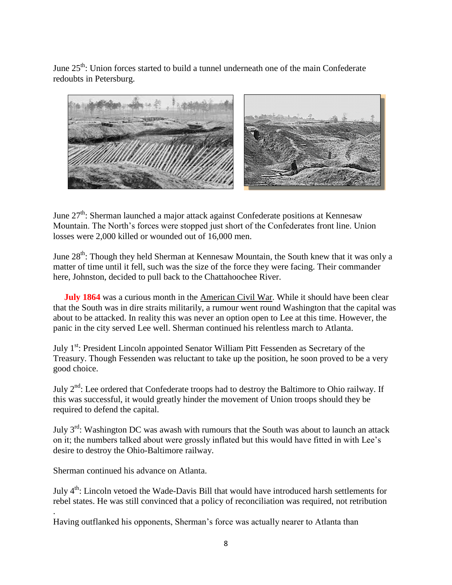June  $25<sup>th</sup>$ : Union forces started to build a tunnel underneath one of the main Confederate redoubts in Petersburg.



June  $27<sup>th</sup>$ : Sherman launched a major attack against Confederate positions at Kennesaw Mountain. The North's forces were stopped just short of the Confederates front line. Union losses were 2,000 killed or wounded out of 16,000 men.

June  $28<sup>th</sup>$ : Though they held Sherman at Kennesaw Mountain, the South knew that it was only a matter of time until it fell, such was the size of the force they were facing. Their commander here, Johnston, decided to pull back to the Chattahoochee River.

**July 1864** was a curious month in the [American Civil](http://www.historylearningsite.co.uk/american-civil-war.htm) War. While it should have been clear that the South was in dire straits militarily, a rumour went round Washington that the capital was about to be attacked. In reality this was never an option open to Lee at this time. However, the panic in the city served Lee well. Sherman continued his relentless march to Atlanta.

July 1<sup>st</sup>: President Lincoln appointed Senator William Pitt Fessenden as Secretary of the Treasury. Though Fessenden was reluctant to take up the position, he soon proved to be a very good choice.

July  $2<sup>nd</sup>$ : Lee ordered that Confederate troops had to destroy the Baltimore to Ohio railway. If this was successful, it would greatly hinder the movement of Union troops should they be required to defend the capital.

July  $3<sup>rd</sup>$ : Washington DC was awash with rumours that the South was about to launch an attack on it; the numbers talked about were grossly inflated but this would have fitted in with Lee's desire to destroy the Ohio-Baltimore railway.

Sherman continued his advance on Atlanta.

.

July 4<sup>th</sup>: Lincoln vetoed the Wade-Davis Bill that would have introduced harsh settlements for rebel states. He was still convinced that a policy of reconciliation was required, not retribution

Having outflanked his opponents, Sherman's force was actually nearer to Atlanta than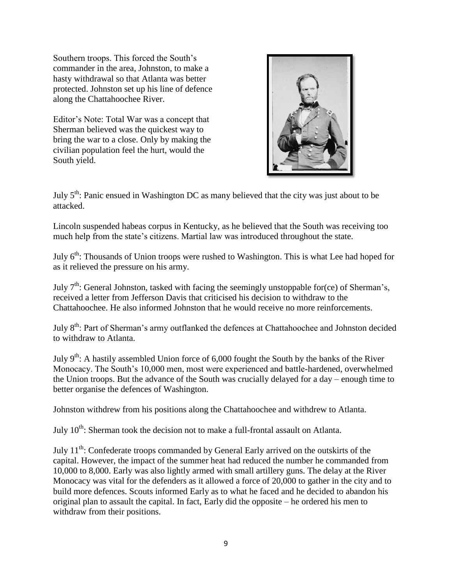Southern troops. This forced the South's commander in the area, Johnston, to make a hasty withdrawal so that Atlanta was better protected. Johnston set up his line of defence along the Chattahoochee River.

Editor's Note: Total War was a concept that Sherman believed was the quickest way to bring the war to a close. Only by making the civilian population feel the hurt, would the South yield.



July 5th: Panic ensued in Washington DC as many believed that the city was just about to be attacked.

Lincoln suspended habeas corpus in Kentucky, as he believed that the South was receiving too much help from the state's citizens. Martial law was introduced throughout the state.

July 6<sup>th</sup>: Thousands of Union troops were rushed to Washington. This is what Lee had hoped for as it relieved the pressure on his army.

July  $7<sup>th</sup>$ : General Johnston, tasked with facing the seemingly unstoppable for(ce) of Sherman's, received a letter from Jefferson Davis that criticised his decision to withdraw to the Chattahoochee. He also informed Johnston that he would receive no more reinforcements.

July 8<sup>th</sup>: Part of Sherman's army outflanked the defences at Chattahoochee and Johnston decided to withdraw to Atlanta.

July 9<sup>th</sup>: A hastily assembled Union force of 6,000 fought the South by the banks of the River Monocacy. The South's 10,000 men, most were experienced and battle-hardened, overwhelmed the Union troops. But the advance of the South was crucially delayed for a day – enough time to better organise the defences of Washington.

Johnston withdrew from his positions along the Chattahoochee and withdrew to Atlanta.

July  $10^{th}$ : Sherman took the decision not to make a full-frontal assault on Atlanta.

July  $11^{th}$ : Confederate troops commanded by General Early arrived on the outskirts of the capital. However, the impact of the summer heat had reduced the number he commanded from 10,000 to 8,000. Early was also lightly armed with small artillery guns. The delay at the River Monocacy was vital for the defenders as it allowed a force of 20,000 to gather in the city and to build more defences. Scouts informed Early as to what he faced and he decided to abandon his original plan to assault the capital. In fact, Early did the opposite – he ordered his men to withdraw from their positions.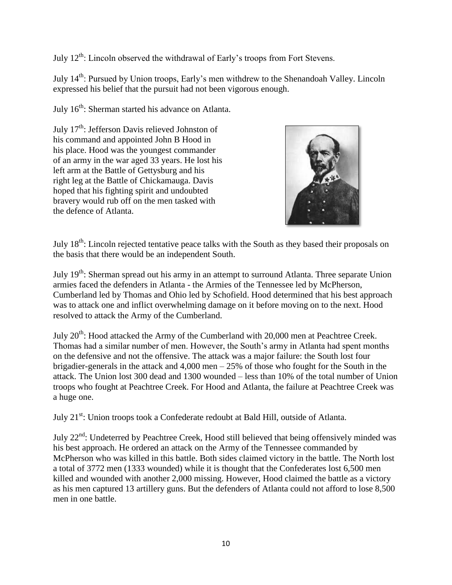July  $12^{th}$ : Lincoln observed the withdrawal of Early's troops from Fort Stevens.

July 14th: Pursued by Union troops, Early's men withdrew to the Shenandoah Valley. Lincoln expressed his belief that the pursuit had not been vigorous enough.

July 16<sup>th</sup>: Sherman started his advance on Atlanta.

July 17<sup>th</sup>: Jefferson Davis relieved Johnston of his command and appointed John B Hood in his place. Hood was the youngest commander of an army in the war aged 33 years. He lost his left arm at the Battle of Gettysburg and his right leg at the Battle of Chickamauga. Davis hoped that his fighting spirit and undoubted bravery would rub off on the men tasked with the defence of Atlanta.



July 18th: Lincoln rejected tentative peace talks with the South as they based their proposals on the basis that there would be an independent South.

July 19<sup>th</sup>: Sherman spread out his army in an attempt to surround Atlanta. Three separate Union armies faced the defenders in Atlanta - the Armies of the Tennessee led by McPherson, Cumberland led by Thomas and Ohio led by Schofield. Hood determined that his best approach was to attack one and inflict overwhelming damage on it before moving on to the next. Hood resolved to attack the Army of the Cumberland.

July 20<sup>th</sup>: Hood attacked the Army of the Cumberland with 20,000 men at Peachtree Creek. Thomas had a similar number of men. However, the South's army in Atlanta had spent months on the defensive and not the offensive. The attack was a major failure: the South lost four brigadier-generals in the attack and 4,000 men – 25% of those who fought for the South in the attack. The Union lost 300 dead and 1300 wounded – less than 10% of the total number of Union troops who fought at Peachtree Creek. For Hood and Atlanta, the failure at Peachtree Creek was a huge one.

July 21<sup>st</sup>: Union troops took a Confederate redoubt at Bald Hill, outside of Atlanta.

July 22<sup>nd</sup>: Undeterred by Peachtree Creek, Hood still believed that being offensively minded was his best approach. He ordered an attack on the Army of the Tennessee commanded by McPherson who was killed in this battle. Both sides claimed victory in the battle. The North lost a total of 3772 men (1333 wounded) while it is thought that the Confederates lost 6,500 men killed and wounded with another 2,000 missing. However, Hood claimed the battle as a victory as his men captured 13 artillery guns. But the defenders of Atlanta could not afford to lose 8,500 men in one battle.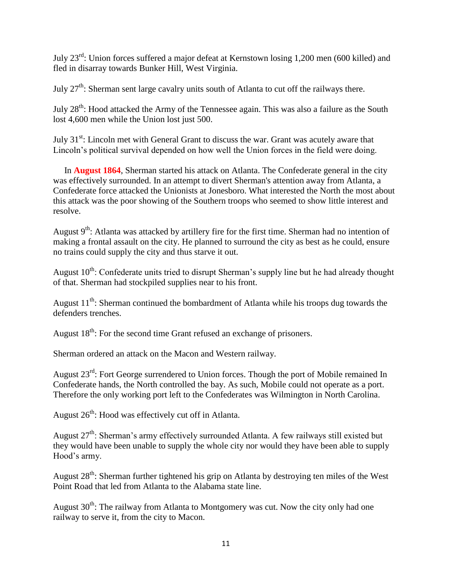July 23rd: Union forces suffered a major defeat at Kernstown losing 1,200 men (600 killed) and fled in disarray towards Bunker Hill, West Virginia.

July 27<sup>th</sup>: Sherman sent large cavalry units south of Atlanta to cut off the railways there.

July 28<sup>th</sup>: Hood attacked the Army of the Tennessee again. This was also a failure as the South lost 4,600 men while the Union lost just 500.

July 31<sup>st</sup>: Lincoln met with General Grant to discuss the war. Grant was acutely aware that Lincoln's political survival depended on how well the Union forces in the field were doing.

 In **August 1864**, Sherman started his attack on Atlanta. The Confederate general in the city was effectively surrounded. In an attempt to divert Sherman's attention away from Atlanta, a Confederate force attacked the Unionists at Jonesboro. What interested the North the most about this attack was the poor showing of the Southern troops who seemed to show little interest and resolve.

August  $9<sup>th</sup>$ : Atlanta was attacked by artillery fire for the first time. Sherman had no intention of making a frontal assault on the city. He planned to surround the city as best as he could, ensure no trains could supply the city and thus starve it out.

August  $10^{th}$ : Confederate units tried to disrupt Sherman's supply line but he had already thought of that. Sherman had stockpiled supplies near to his front.

August  $11<sup>th</sup>$ : Sherman continued the bombardment of Atlanta while his troops dug towards the defenders trenches.

August  $18<sup>th</sup>$ : For the second time Grant refused an exchange of prisoners.

Sherman ordered an attack on the Macon and Western railway.

August 23<sup>rd</sup>: Fort George surrendered to Union forces. Though the port of Mobile remained In Confederate hands, the North controlled the bay. As such, Mobile could not operate as a port. Therefore the only working port left to the Confederates was Wilmington in North Carolina.

August  $26<sup>th</sup>$ : Hood was effectively cut off in Atlanta.

August 27<sup>th</sup>: Sherman's army effectively surrounded Atlanta. A few railways still existed but they would have been unable to supply the whole city nor would they have been able to supply Hood's army.

August  $28<sup>th</sup>$ : Sherman further tightened his grip on Atlanta by destroying ten miles of the West Point Road that led from Atlanta to the Alabama state line.

August  $30<sup>th</sup>$ : The railway from Atlanta to Montgomery was cut. Now the city only had one railway to serve it, from the city to Macon.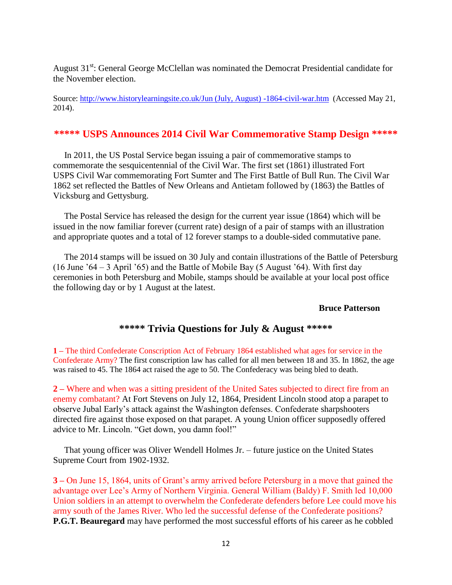August  $31<sup>st</sup>$ : General George McClellan was nominated the Democrat Presidential candidate for the November election.

Source: [http://www.historylearningsite.co.uk/Jun \(July, August\) -1864-civil-war.htm](http://www.historylearningsite.co.uk/Jun%20(July,%20August)%20-1864-civil-war.htm) (Accessed May 21, 2014).

#### **\*\*\*\*\* USPS Announces 2014 Civil War Commemorative Stamp Design \*\*\*\*\***

 In 2011, the US Postal Service began issuing a pair of commemorative stamps to commemorate the sesquicentennial of the Civil War. The first set (1861) illustrated Fort USPS Civil War commemorating Fort Sumter and The First Battle of Bull Run. The Civil War 1862 set reflected the Battles of New Orleans and Antietam followed by (1863) the Battles of Vicksburg and Gettysburg.

 The Postal Service has released the design for the current year issue (1864) which will be issued in the now familiar forever (current rate) design of a pair of stamps with an illustration and appropriate quotes and a total of 12 forever stamps to a double-sided commutative pane.

 The 2014 stamps will be issued on 30 July and contain illustrations of the Battle of Petersburg (16 June '64 – 3 April '65) and the Battle of Mobile Bay (5 August '64). With first day ceremonies in both Petersburg and Mobile, stamps should be available at your local post office the following day or by 1 August at the latest.

#### **Bruce Patterson**

#### **\*\*\*\*\* Trivia Questions for July & August \*\*\*\*\***

**1 –** The third Confederate Conscription Act of February 1864 established what ages for service in the Confederate Army? The first conscription law has called for all men between 18 and 35. In 1862, the age was raised to 45. The 1864 act raised the age to 50. The Confederacy was being bled to death.

**2 –** Where and when was a sitting president of the United Sates subjected to direct fire from an enemy combatant? At Fort Stevens on July 12, 1864, President Lincoln stood atop a parapet to observe Jubal Early's attack against the Washington defenses. Confederate sharpshooters directed fire against those exposed on that parapet. A young Union officer supposedly offered advice to Mr. Lincoln. "Get down, you damn fool!"

 That young officer was Oliver Wendell Holmes Jr. – future justice on the United States Supreme Court from 1902-1932.

**3 –** On June 15, 1864, units of Grant's army arrived before Petersburg in a move that gained the advantage over Lee's Army of Northern Virginia. General William (Baldy) F. Smith led 10,000 Union soldiers in an attempt to overwhelm the Confederate defenders before Lee could move his army south of the James River. Who led the successful defense of the Confederate positions? **P.G.T. Beauregard** may have performed the most successful efforts of his career as he cobbled